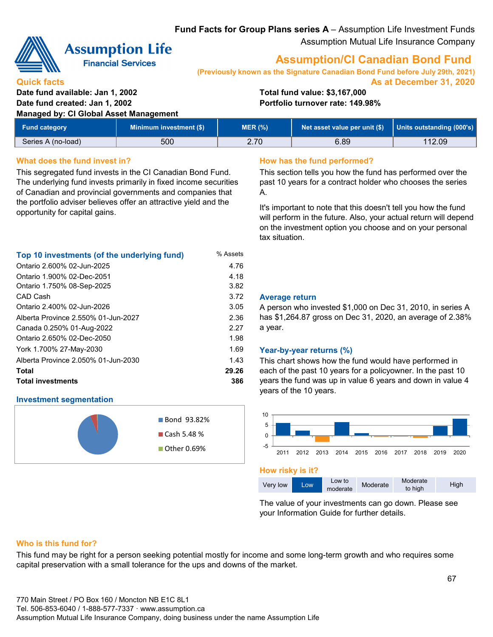**Fund Facts for Group Plans series A** – Assumption Life Investment Funds Assumption Mutual Life Insurance Company



**Quick facts**

# **Assumption Life**

**Financial Services** 

# **Assumption/CI Canadian Bond Fund**

**(Previously known as the Signature Canadian Bond Fund before July 29th, 2021) As at December 31, 2020**

**Date fund available: Jan 1, 2002 Total fund value: \$3,167,000 Date fund created: Jan 1, 2002 Portfolio turnover rate: 149.98%**

**Managed by: CI Global Asset Management**

| Fund category      | Minimum investment (\$) | MER (%) | Net asset value per unit $(\$)$   Units outstanding (000's) |        |
|--------------------|-------------------------|---------|-------------------------------------------------------------|--------|
| Series A (no-load) | 500                     | 2.70    | 6.89                                                        | 112.09 |

# **What does the fund invest in? How has the fund performed?**

This segregated fund invests in the CI Canadian Bond Fund. The underlying fund invests primarily in fixed income securities of Canadian and provincial governments and companies that the portfolio adviser believes offer an attractive yield and the opportunity for capital gains.

| Top 10 investments (of the underlying fund) | % Assets |
|---------------------------------------------|----------|
| Ontario 2.600% 02-Jun-2025                  | 4.76     |
| Ontario 1.900% 02-Dec-2051                  | 4.18     |
| Ontario 1.750% 08-Sep-2025                  | 3.82     |
| CAD Cash                                    | 3.72     |
| Ontario 2.400% 02-Jun-2026                  | 3.05     |
| Alberta Province 2.550% 01-Jun-2027         | 2.36     |
| Canada 0.250% 01-Aug-2022                   | 2.27     |
| Ontario 2.650% 02-Dec-2050                  | 1.98     |
| York 1.700% 27-May-2030                     | 1.69     |
| Alberta Province 2.050% 01-Jun-2030         | 1.43     |
| Total                                       | 29.26    |
| <b>Total investments</b>                    | 386      |

# **Investment segmentation**



This section tells you how the fund has performed over the past 10 years for a contract holder who chooses the series A.

It's important to note that this doesn't tell you how the fund will perform in the future. Also, your actual return will depend on the investment option you choose and on your personal tax situation.

## 3.72 **Average return**

A person who invested \$1,000 on Dec 31, 2010, in series A has \$1,264.87 gross on Dec 31, 2020, an average of 2.38% a year.

### 1.69 **Year-by-year returns (%)**

This chart shows how the fund would have performed in each of the past 10 years for a policyowner. In the past 10 years the fund was up in value 6 years and down in value 4 years of the 10 years.



#### **How risky is it?**



The value of your investments can go down. Please see your Information Guide for further details.

## **Who is this fund for?**

This fund may be right for a person seeking potential mostly for income and some long-term growth and who requires some capital preservation with a small tolerance for the ups and downs of the market.